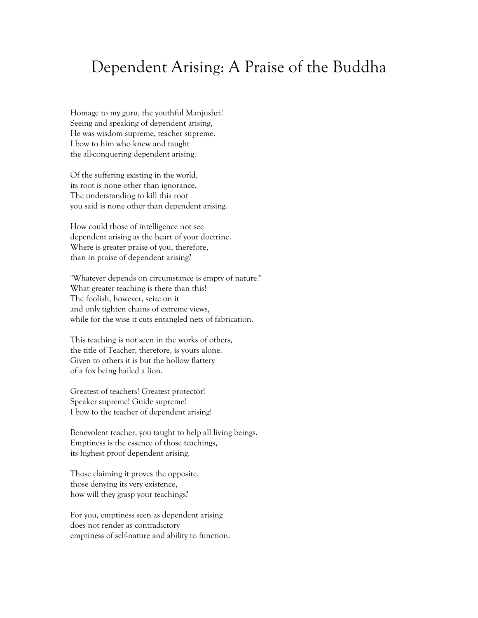## Dependent Arising: A Praise of the Buddha

Homage to my guru, the youthful Manjushri! Seeing and speaking of dependent arising, He was wisdom supreme, teacher supreme. I bow to him who knew and taught the all-conquering dependent arising.

Of the suffering existing in the world, its root is none other than ignorance. The understanding to kill this root you said is none other than dependent arising.

How could those of intelligence not see dependent arising as the heart of your doctrine. Where is greater praise of you, therefore, than in praise of dependent arising?

"Whatever depends on circumstance is empty of nature." What greater teaching is there than this! The foolish, however, seize on it and only tighten chains of extreme views, while for the wise it cuts entangled nets of fabrication.

This teaching is not seen in the works of others, the title of Teacher, therefore, is yours alone. Given to others it is but the hollow flattery of a fox being hailed a lion.

Greatest of teachers! Greatest protector! Speaker supreme! Guide supreme! I bow to the teacher of dependent arising!

Benevolent teacher, you taught to help all living beings. Emptiness is the essence of those teachings, its highest proof dependent arising.

Those claiming it proves the opposite, those denying its very existence, how will they grasp your teachings?

For you, emptiness seen as dependent arising does not render as contradictory emptiness of self-nature and ability to function.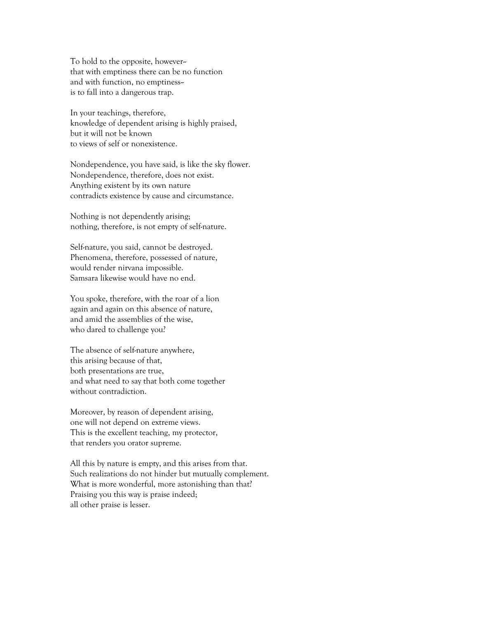To hold to the opposite, however-that with emptiness there can be no function and with function, no emptiness- is to fall into a dangerous trap.

In your teachings, therefore, knowledge of dependent arising is highly praised, but it will not be known to views of self or nonexistence.

Nondependence, you have said, is like the sky flower. Nondependence, therefore, does not exist. Anything existent by its own nature contradicts existence by cause and circumstance.

Nothing is not dependently arising; nothing, therefore, is not empty of self-nature.

Self-nature, you said, cannot be destroyed. Phenomena, therefore, possessed of nature, would render nirvana impossible. Samsara likewise would have no end.

You spoke, therefore, with the roar of a lion again and again on this absence of nature, and amid the assemblies of the wise, who dared to challenge you?

The absence of self-nature anywhere, this arising because of that, both presentations are true, and what need to say that both come together without contradiction.

Moreover, by reason of dependent arising, one will not depend on extreme views. This is the excellent teaching, my protector, that renders you orator supreme.

All this by nature is empty, and this arises from that. Such realizations do not hinder but mutually complement. What is more wonderful, more astonishing than that? Praising you this way is praise indeed; all other praise is lesser.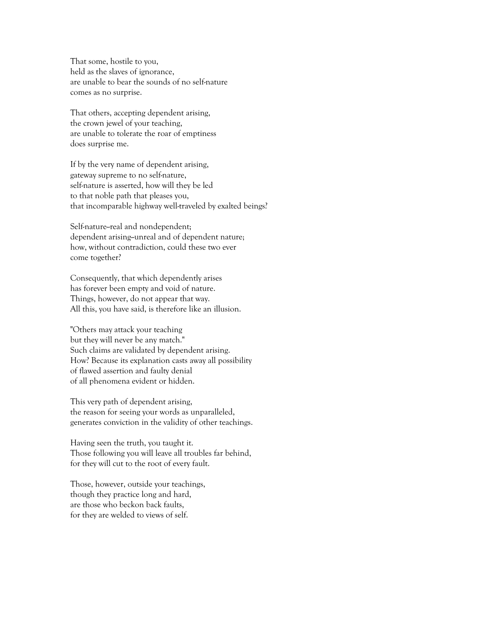That some, hostile to you, held as the slaves of ignorance, are unable to bear the sounds of no self-nature comes as no surprise.

That others, accepting dependent arising, the crown jewel of your teaching, are unable to tolerate the roar of emptiness does surprise me.

If by the very name of dependent arising, gateway supreme to no self-nature, self-nature is asserted, how will they be led to that noble path that pleases you, that incomparable highway well-traveled by exalted beings?

Self-nature--real and nondependent; dependent arising--unreal and of dependent nature; how, without contradiction, could these two ever come together?

Consequently, that which dependently arises has forever been empty and void of nature. Things, however, do not appear that way. All this, you have said, is therefore like an illusion.

"Others may attack your teaching but they will never be any match." Such claims are validated by dependent arising. How? Because its explanation casts away all possibility of flawed assertion and faulty denial of all phenomena evident or hidden.

This very path of dependent arising, the reason for seeing your words as unparalleled, generates conviction in the validity of other teachings.

Having seen the truth, you taught it. Those following you will leave all troubles far behind, for they will cut to the root of every fault.

Those, however, outside your teachings, though they practice long and hard, are those who beckon back faults, for they are welded to views of self.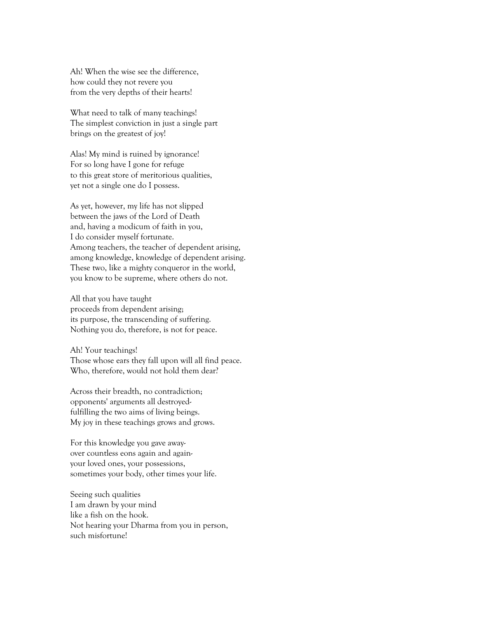Ah! When the wise see the difference, how could they not revere you from the very depths of their hearts!

What need to talk of many teachings! The simplest conviction in just a single part brings on the greatest of joy!

Alas! My mind is ruined by ignorance! For so long have I gone for refuge to this great store of meritorious qualities, yet not a single one do I possess.

As yet, however, my life has not slipped between the jaws of the Lord of Death and, having a modicum of faith in you, I do consider myself fortunate. Among teachers, the teacher of dependent arising, among knowledge, knowledge of dependent arising. These two, like a mighty conqueror in the world, you know to be supreme, where others do not.

All that you have taught proceeds from dependent arising; its purpose, the transcending of suffering. Nothing you do, therefore, is not for peace.

Ah! Your teachings! Those whose ears they fall upon will all find peace. Who, therefore, would not hold them dear?

Across their breadth, no contradiction; opponents' arguments all destroyedfulfilling the two aims of living beings. My joy in these teachings grows and grows.

For this knowledge you gave awayover countless eons again and againyour loved ones, your possessions, sometimes your body, other times your life.

Seeing such qualities I am drawn by your mind like a fish on the hook. Not hearing your Dharma from you in person, such misfortune!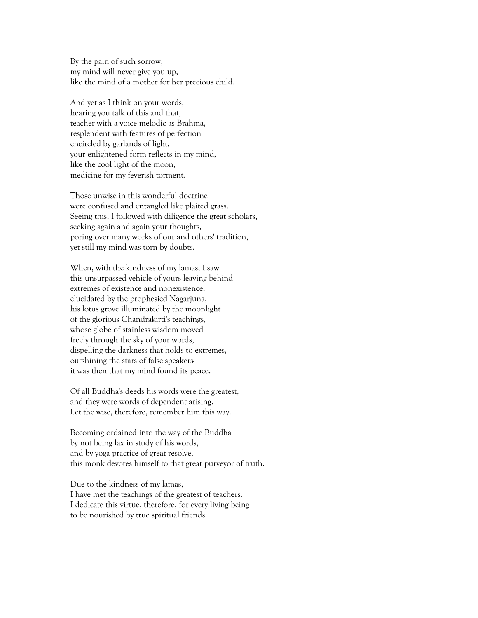By the pain of such sorrow, my mind will never give you up, like the mind of a mother for her precious child.

And yet as I think on your words, hearing you talk of this and that, teacher with a voice melodic as Brahma, resplendent with features of perfection encircled by garlands of light, your enlightened form reflects in my mind, like the cool light of the moon, medicine for my feverish torment.

Those unwise in this wonderful doctrine were confused and entangled like plaited grass. Seeing this, I followed with diligence the great scholars, seeking again and again your thoughts, poring over many works of our and others' tradition, yet still my mind was torn by doubts.

When, with the kindness of my lamas, I saw this unsurpassed vehicle of yours leaving behind extremes of existence and nonexistence, elucidated by the prophesied Nagarjuna, his lotus grove illuminated by the moonlight of the glorious Chandrakirti's teachings, whose globe of stainless wisdom moved freely through the sky of your words, dispelling the darkness that holds to extremes, outshining the stars of false speakersit was then that my mind found its peace.

Of all Buddha's deeds his words were the greatest, and they were words of dependent arising. Let the wise, therefore, remember him this way.

Becoming ordained into the way of the Buddha by not being lax in study of his words, and by yoga practice of great resolve, this monk devotes himself to that great purveyor of truth.

Due to the kindness of my lamas, I have met the teachings of the greatest of teachers. I dedicate this virtue, therefore, for every living being to be nourished by true spiritual friends.